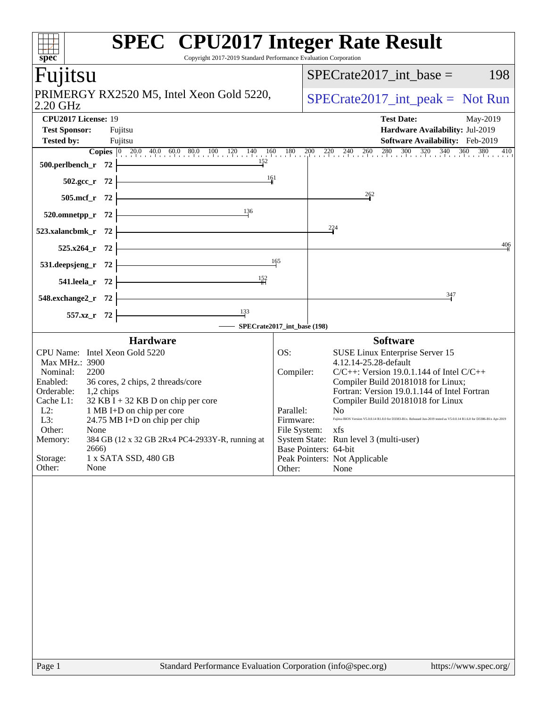| spec <sup>®</sup>                                                                                                                                                                                                                                                                                                                                                                                                                                      | <b>SPEC<sup>®</sup></b> CPU2017 Integer Rate Result<br>Copyright 2017-2019 Standard Performance Evaluation Corporation                                                                                                                                                                                                                                                                                                                                                                                                                                                             |
|--------------------------------------------------------------------------------------------------------------------------------------------------------------------------------------------------------------------------------------------------------------------------------------------------------------------------------------------------------------------------------------------------------------------------------------------------------|------------------------------------------------------------------------------------------------------------------------------------------------------------------------------------------------------------------------------------------------------------------------------------------------------------------------------------------------------------------------------------------------------------------------------------------------------------------------------------------------------------------------------------------------------------------------------------|
| Fujitsu                                                                                                                                                                                                                                                                                                                                                                                                                                                | $SPECrate2017\_int\_base =$<br>198                                                                                                                                                                                                                                                                                                                                                                                                                                                                                                                                                 |
| PRIMERGY RX2520 M5, Intel Xeon Gold 5220,<br>2.20 GHz                                                                                                                                                                                                                                                                                                                                                                                                  | $SPECrate2017\_int\_peak = Not Run$                                                                                                                                                                                                                                                                                                                                                                                                                                                                                                                                                |
| CPU2017 License: 19<br><b>Test Sponsor:</b><br>Fujitsu<br><b>Tested by:</b><br>Fujitsu                                                                                                                                                                                                                                                                                                                                                                 | <b>Test Date:</b><br>May-2019<br>Hardware Availability: Jul-2019<br>Software Availability: Feb-2019                                                                                                                                                                                                                                                                                                                                                                                                                                                                                |
| 152<br>500.perlbench_r 72                                                                                                                                                                                                                                                                                                                                                                                                                              | <b>Copies</b> $\begin{bmatrix} 0 & 20.0 & 40.0 & 60.0 & 80.0 & 100 & 120 & 140 & 160 & 180 & 200 & 220 & 240 & 260 & 280 & 300 & 320 & 340 & 360 & 380 \end{bmatrix}$<br>410                                                                                                                                                                                                                                                                                                                                                                                                       |
| 161<br>$502.\text{gcc}_r$ 72                                                                                                                                                                                                                                                                                                                                                                                                                           |                                                                                                                                                                                                                                                                                                                                                                                                                                                                                                                                                                                    |
| 505.mcf_r 72<br>136<br>520.omnetpp_r 72                                                                                                                                                                                                                                                                                                                                                                                                                | $\frac{262}{9}$                                                                                                                                                                                                                                                                                                                                                                                                                                                                                                                                                                    |
| 523.xalancbmk_r<br>- 72                                                                                                                                                                                                                                                                                                                                                                                                                                | 224                                                                                                                                                                                                                                                                                                                                                                                                                                                                                                                                                                                |
| $525.x264$ _r<br>- 72                                                                                                                                                                                                                                                                                                                                                                                                                                  | 406                                                                                                                                                                                                                                                                                                                                                                                                                                                                                                                                                                                |
| 531.deepsjeng_r<br>- 72                                                                                                                                                                                                                                                                                                                                                                                                                                | 165                                                                                                                                                                                                                                                                                                                                                                                                                                                                                                                                                                                |
| 152<br>541.leela_r 72                                                                                                                                                                                                                                                                                                                                                                                                                                  |                                                                                                                                                                                                                                                                                                                                                                                                                                                                                                                                                                                    |
| 548.exchange2_r 72<br>133<br>557.xz_r 72                                                                                                                                                                                                                                                                                                                                                                                                               | 347                                                                                                                                                                                                                                                                                                                                                                                                                                                                                                                                                                                |
|                                                                                                                                                                                                                                                                                                                                                                                                                                                        | SPECrate2017_int_base (198)                                                                                                                                                                                                                                                                                                                                                                                                                                                                                                                                                        |
| <b>Hardware</b><br>CPU Name: Intel Xeon Gold 5220<br>Max MHz.: 3900<br>Nominal:<br>2200<br>Enabled:<br>36 cores, 2 chips, 2 threads/core<br>Orderable:<br>1,2 chips<br>Cache L1:<br>$32$ KB I + 32 KB D on chip per core<br>$L2$ :<br>1 MB I+D on chip per core<br>L3:<br>24.75 MB I+D on chip per chip<br>Other:<br>None<br>384 GB (12 x 32 GB 2Rx4 PC4-2933Y-R, running at<br>Memory:<br>2666)<br>Storage:<br>1 x SATA SSD, 480 GB<br>Other:<br>None | <b>Software</b><br>OS:<br>SUSE Linux Enterprise Server 15<br>4.12.14-25.28-default<br>$C/C++$ : Version 19.0.1.144 of Intel $C/C++$<br>Compiler:<br>Compiler Build 20181018 for Linux;<br>Fortran: Version 19.0.1.144 of Intel Fortran<br>Compiler Build 20181018 for Linux<br>Parallel:<br>No.<br>Fujitsu BIOS Version V5.0.0.14 R1.8.0 for D3383-B1x. Released Jun-2019 tested as V5.0.0.14 R1.6.0 for D3386-B1x Apr-2019<br>Firmware:<br>File System: xfs<br>System State: Run level 3 (multi-user)<br>Base Pointers: 64-bit<br>Peak Pointers: Not Applicable<br>Other:<br>None |
| Page 1                                                                                                                                                                                                                                                                                                                                                                                                                                                 | Standard Performance Evaluation Corporation (info@spec.org)<br>https://www.spec.org/                                                                                                                                                                                                                                                                                                                                                                                                                                                                                               |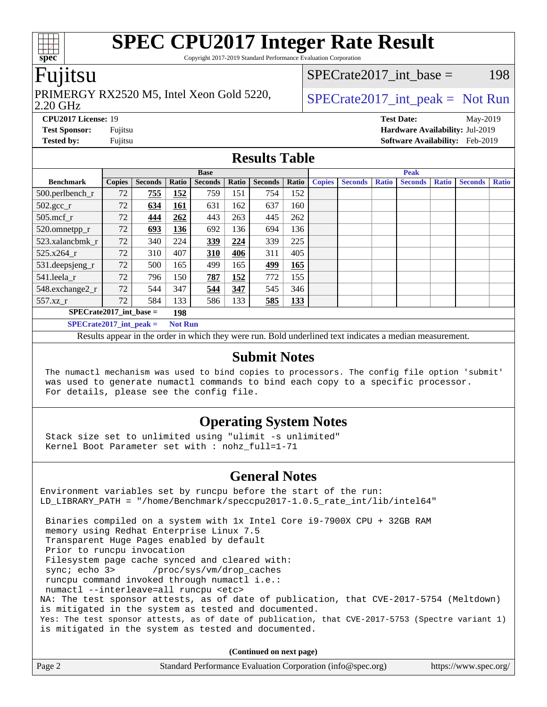Copyright 2017-2019 Standard Performance Evaluation Corporation

### Fujitsu

#### 2.20 GHz PRIMERGY RX2520 M5, Intel Xeon Gold 5220,  $\big|$  SPECrate 2017 int peak = Not Run

SPECrate2017 int base =  $198$ 

**[CPU2017 License:](http://www.spec.org/auto/cpu2017/Docs/result-fields.html#CPU2017License)** 19 **[Test Date:](http://www.spec.org/auto/cpu2017/Docs/result-fields.html#TestDate)** May-2019 **[Test Sponsor:](http://www.spec.org/auto/cpu2017/Docs/result-fields.html#TestSponsor)** Fujitsu **[Hardware Availability:](http://www.spec.org/auto/cpu2017/Docs/result-fields.html#HardwareAvailability)** Jul-2019 **[Tested by:](http://www.spec.org/auto/cpu2017/Docs/result-fields.html#Testedby)** Fujitsu **[Software Availability:](http://www.spec.org/auto/cpu2017/Docs/result-fields.html#SoftwareAvailability)** Feb-2019

### **[Results Table](http://www.spec.org/auto/cpu2017/Docs/result-fields.html#ResultsTable)**

|                           |               |                |                | <b>Base</b>    |       |                |       |               |                |              | <b>Peak</b>    |              |                |              |
|---------------------------|---------------|----------------|----------------|----------------|-------|----------------|-------|---------------|----------------|--------------|----------------|--------------|----------------|--------------|
| <b>Benchmark</b>          | <b>Copies</b> | <b>Seconds</b> | Ratio          | <b>Seconds</b> | Ratio | <b>Seconds</b> | Ratio | <b>Copies</b> | <b>Seconds</b> | <b>Ratio</b> | <b>Seconds</b> | <b>Ratio</b> | <b>Seconds</b> | <b>Ratio</b> |
| $500.$ perlbench_r        | 72            | 755            | 152            | 759            | 151   | 754            | 152   |               |                |              |                |              |                |              |
| $502.\text{gcc\_r}$       | 72            | 634            | 161            | 631            | 162   | 637            | 160   |               |                |              |                |              |                |              |
| 505.mcf r                 | 72            | 444            | 262            | 443            | 263   | 445            | 262   |               |                |              |                |              |                |              |
| 520.omnetpp_r             | 72            | 693            | 136            | 692            | 136   | 694            | 136   |               |                |              |                |              |                |              |
| 523.xalancbmk r           | 72            | 340            | 224            | <u>339</u>     | 224   | 339            | 225   |               |                |              |                |              |                |              |
| 525.x264 r                | 72            | 310            | 407            | 310            | 406   | 311            | 405   |               |                |              |                |              |                |              |
| 531.deepsjeng_r           | 72            | 500            | 165            | 499            | 165   | 499            | 165   |               |                |              |                |              |                |              |
| 541.leela r               | 72            | 796            | 150            | 787            | 152   | 772            | 155   |               |                |              |                |              |                |              |
| 548.exchange2_r           | 72            | 544            | 347            | 544            | 347   | 545            | 346   |               |                |              |                |              |                |              |
| 557.xz r                  | 72            | 584            | 133            | 586            | 133   | 585            | 133   |               |                |              |                |              |                |              |
| $SPECrate2017$ int base = |               |                | 198            |                |       |                |       |               |                |              |                |              |                |              |
| $SPECrate2017$ int peak = |               |                | <b>Not Run</b> |                |       |                |       |               |                |              |                |              |                |              |

Results appear in the [order in which they were run](http://www.spec.org/auto/cpu2017/Docs/result-fields.html#RunOrder). Bold underlined text [indicates a median measurement](http://www.spec.org/auto/cpu2017/Docs/result-fields.html#Median).

### **[Submit Notes](http://www.spec.org/auto/cpu2017/Docs/result-fields.html#SubmitNotes)**

 The numactl mechanism was used to bind copies to processors. The config file option 'submit' was used to generate numactl commands to bind each copy to a specific processor. For details, please see the config file.

### **[Operating System Notes](http://www.spec.org/auto/cpu2017/Docs/result-fields.html#OperatingSystemNotes)**

 Stack size set to unlimited using "ulimit -s unlimited" Kernel Boot Parameter set with : nohz\_full=1-71

#### **[General Notes](http://www.spec.org/auto/cpu2017/Docs/result-fields.html#GeneralNotes)**

Environment variables set by runcpu before the start of the run: LD\_LIBRARY\_PATH = "/home/Benchmark/speccpu2017-1.0.5\_rate\_int/lib/intel64" Binaries compiled on a system with 1x Intel Core i9-7900X CPU + 32GB RAM memory using Redhat Enterprise Linux 7.5 Transparent Huge Pages enabled by default Prior to runcpu invocation Filesystem page cache synced and cleared with: sync; echo 3> /proc/sys/vm/drop\_caches runcpu command invoked through numactl i.e.: numactl --interleave=all runcpu <etc> NA: The test sponsor attests, as of date of publication, that CVE-2017-5754 (Meltdown) is mitigated in the system as tested and documented. Yes: The test sponsor attests, as of date of publication, that CVE-2017-5753 (Spectre variant 1) is mitigated in the system as tested and documented.

**(Continued on next page)**

| Page 2<br>Standard Performance Evaluation Corporation (info@spec.org)<br>https://www.spec.org/ |
|------------------------------------------------------------------------------------------------|
|------------------------------------------------------------------------------------------------|

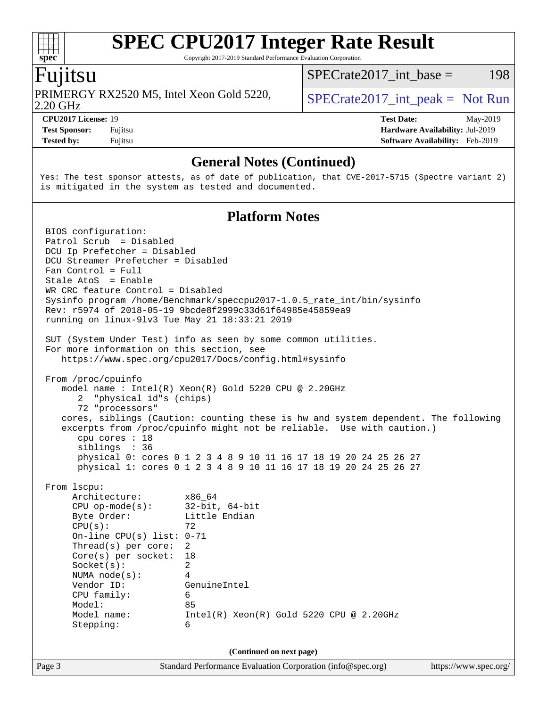Copyright 2017-2019 Standard Performance Evaluation Corporation

### Fujitsu

**[spec](http://www.spec.org/)**

 $+\ +$ 

2.20 GHz PRIMERGY RX2520 M5, Intel Xeon Gold 5220,  $\big|$  SPECrate 2017 int peak = Not Run

 $SPECTate2017\_int\_base = 198$ 

**[Tested by:](http://www.spec.org/auto/cpu2017/Docs/result-fields.html#Testedby)** Fujitsu **[Software Availability:](http://www.spec.org/auto/cpu2017/Docs/result-fields.html#SoftwareAvailability)** Feb-2019

**[CPU2017 License:](http://www.spec.org/auto/cpu2017/Docs/result-fields.html#CPU2017License)** 19 **[Test Date:](http://www.spec.org/auto/cpu2017/Docs/result-fields.html#TestDate)** May-2019 **[Test Sponsor:](http://www.spec.org/auto/cpu2017/Docs/result-fields.html#TestSponsor)** Fujitsu **[Hardware Availability:](http://www.spec.org/auto/cpu2017/Docs/result-fields.html#HardwareAvailability)** Jul-2019

### **[General Notes \(Continued\)](http://www.spec.org/auto/cpu2017/Docs/result-fields.html#GeneralNotes)**

Yes: The test sponsor attests, as of date of publication, that CVE-2017-5715 (Spectre variant 2) is mitigated in the system as tested and documented.

### **[Platform Notes](http://www.spec.org/auto/cpu2017/Docs/result-fields.html#PlatformNotes)**

Page 3 Standard Performance Evaluation Corporation [\(info@spec.org\)](mailto:info@spec.org) <https://www.spec.org/> BIOS configuration: Patrol Scrub = Disabled DCU Ip Prefetcher = Disabled DCU Streamer Prefetcher = Disabled Fan Control = Full Stale AtoS = Enable WR CRC feature Control = Disabled Sysinfo program /home/Benchmark/speccpu2017-1.0.5 rate int/bin/sysinfo Rev: r5974 of 2018-05-19 9bcde8f2999c33d61f64985e45859ea9 running on linux-9lv3 Tue May 21 18:33:21 2019 SUT (System Under Test) info as seen by some common utilities. For more information on this section, see <https://www.spec.org/cpu2017/Docs/config.html#sysinfo> From /proc/cpuinfo model name : Intel(R) Xeon(R) Gold 5220 CPU @ 2.20GHz 2 "physical id"s (chips) 72 "processors" cores, siblings (Caution: counting these is hw and system dependent. The following excerpts from /proc/cpuinfo might not be reliable. Use with caution.) cpu cores : 18 siblings : 36 physical 0: cores 0 1 2 3 4 8 9 10 11 16 17 18 19 20 24 25 26 27 physical 1: cores 0 1 2 3 4 8 9 10 11 16 17 18 19 20 24 25 26 27 From lscpu: Architecture: x86\_64 CPU op-mode(s): 32-bit, 64-bit Byte Order: Little Endian  $CPU(s):$  72 On-line CPU(s) list: 0-71 Thread(s) per core: 2 Core(s) per socket: 18 Socket(s): 2 NUMA node(s): 4 Vendor ID: GenuineIntel CPU family: 6 Model: 85 Model name: Intel(R) Xeon(R) Gold 5220 CPU @ 2.20GHz Stepping: 6 **(Continued on next page)**

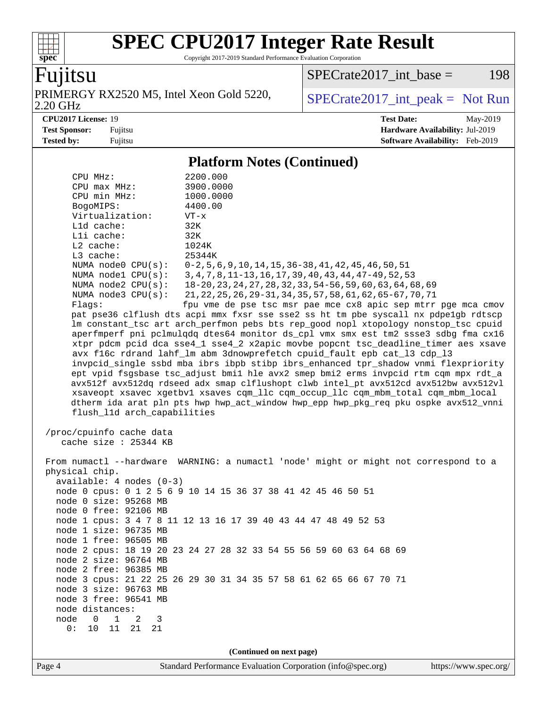Copyright 2017-2019 Standard Performance Evaluation Corporation

## Fujitsu

**[spec](http://www.spec.org/)**

PRIMERGY RX2520 M5, Intel Xeon Gold 5220,<br>2.20 GHz

 $SPECTate2017\_int\_base = 198$ 

 $SPECTate2017\_int\_peak = Not Run$ 

**[CPU2017 License:](http://www.spec.org/auto/cpu2017/Docs/result-fields.html#CPU2017License)** 19 **[Test Date:](http://www.spec.org/auto/cpu2017/Docs/result-fields.html#TestDate)** May-2019 **[Test Sponsor:](http://www.spec.org/auto/cpu2017/Docs/result-fields.html#TestSponsor)** Fujitsu **[Hardware Availability:](http://www.spec.org/auto/cpu2017/Docs/result-fields.html#HardwareAvailability)** Jul-2019 **[Tested by:](http://www.spec.org/auto/cpu2017/Docs/result-fields.html#Testedby)** Fujitsu **Fugital Example 2019 [Software Availability:](http://www.spec.org/auto/cpu2017/Docs/result-fields.html#SoftwareAvailability)** Feb-2019

### **[Platform Notes \(Continued\)](http://www.spec.org/auto/cpu2017/Docs/result-fields.html#PlatformNotes)**

| CPU MHz:                                          | 2200.000                                                                             |
|---------------------------------------------------|--------------------------------------------------------------------------------------|
| CPU max MHz:                                      | 3900.0000                                                                            |
| CPU min MHz:                                      | 1000.0000                                                                            |
| BogoMIPS:                                         | 4400.00                                                                              |
| Virtualization:                                   | $VT - x$                                                                             |
| L1d cache:                                        | 32K                                                                                  |
| Lli cache:                                        | 32K                                                                                  |
| $L2$ cache:                                       | 1024K                                                                                |
| L3 cache:                                         | 25344K                                                                               |
| NUMA node0 CPU(s):                                | $0-2, 5, 6, 9, 10, 14, 15, 36-38, 41, 42, 45, 46, 50, 51$                            |
| NUMA $node1$ $CPU(s):$                            | 3, 4, 7, 8, 11-13, 16, 17, 39, 40, 43, 44, 47-49, 52, 53                             |
| NUMA node2 CPU(s):                                | 18-20, 23, 24, 27, 28, 32, 33, 54-56, 59, 60, 63, 64, 68, 69                         |
| NUMA $node3$ $CPU(s):$                            | 21, 22, 25, 26, 29-31, 34, 35, 57, 58, 61, 62, 65-67, 70, 71                         |
| Flags:                                            | fpu vme de pse tsc msr pae mce cx8 apic sep mtrr pge mca cmov                        |
|                                                   | pat pse36 clflush dts acpi mmx fxsr sse sse2 ss ht tm pbe syscall nx pdpelgb rdtscp  |
|                                                   | lm constant_tsc art arch_perfmon pebs bts rep_good nopl xtopology nonstop_tsc cpuid  |
|                                                   | aperfmperf pni pclmulqdq dtes64 monitor ds_cpl vmx smx est tm2 ssse3 sdbg fma cx16   |
|                                                   | xtpr pdcm pcid dca sse4_1 sse4_2 x2apic movbe popcnt tsc_deadline_timer aes xsave    |
|                                                   | avx f16c rdrand lahf_lm abm 3dnowprefetch cpuid_fault epb cat_13 cdp_13              |
|                                                   | invpcid_single ssbd mba ibrs ibpb stibp ibrs_enhanced tpr_shadow vnmi flexpriority   |
|                                                   | ept vpid fsgsbase tsc_adjust bmil hle avx2 smep bmi2 erms invpcid rtm cqm mpx rdt_a  |
|                                                   | avx512f avx512dq rdseed adx smap clflushopt clwb intel_pt avx512cd avx512bw avx512vl |
|                                                   | xsaveopt xsavec xgetbvl xsaves cqm_llc cqm_occup_llc cqm_mbm_total cqm_mbm_local     |
|                                                   | dtherm ida arat pln pts hwp hwp_act_window hwp_epp hwp_pkg_req pku ospke avx512_vnni |
| flush_l1d arch_capabilities                       |                                                                                      |
| /proc/cpuinfo cache data<br>cache size : 25344 KB |                                                                                      |
|                                                   | From numactl --hardware WARNING: a numactl 'node' might or might not correspond to a |
| physical chip.                                    |                                                                                      |
| $available: 4 nodes (0-3)$                        |                                                                                      |
| node 0 size: 95268 MB                             | node 0 cpus: 0 1 2 5 6 9 10 14 15 36 37 38 41 42 45 46 50 51                         |
| node 0 free: 92106 MB                             |                                                                                      |
|                                                   | node 1 cpus: 3 4 7 8 11 12 13 16 17 39 40 43 44 47 48 49 52 53                       |
| node 1 size: 96735 MB                             |                                                                                      |
| node 1 free: 96505 MB                             |                                                                                      |
|                                                   | node 2 cpus: 18 19 20 23 24 27 28 32 33 54 55 56 59 60 63 64 68 69                   |
| node 2 size: 96764 MB                             |                                                                                      |
| node 2 free: 96385 MB                             |                                                                                      |
|                                                   | node 3 cpus: 21 22 25 26 29 30 31 34 35 57 58 61 62 65 66 67 70 71                   |
| node 3 size: 96763 MB                             |                                                                                      |
| node 3 free: 96541 MB                             |                                                                                      |
| node distances:                                   |                                                                                      |
| node<br>1<br>0<br>2<br>3                          |                                                                                      |
| 0:<br>10<br>11<br>21<br>21                        |                                                                                      |
|                                                   |                                                                                      |
|                                                   | (Continued on next page)                                                             |
|                                                   |                                                                                      |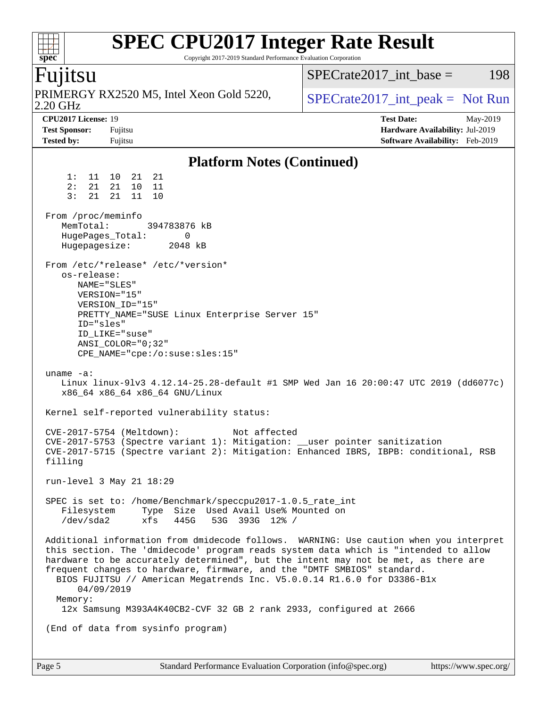#### **[SPEC CPU2017 Integer Rate Result](http://www.spec.org/auto/cpu2017/Docs/result-fields.html#SPECCPU2017IntegerRateResult)**  $+\ +$ Copyright 2017-2019 Standard Performance Evaluation Corporation **[spec](http://www.spec.org/)**  $SPECTate2017\_int\_base = 198$ Fujitsu PRIMERGY RX2520 M5, Intel Xeon Gold 5220,  $\vert$  [SPECrate2017\\_int\\_peak =](http://www.spec.org/auto/cpu2017/Docs/result-fields.html#SPECrate2017intpeak) Not Run 2.20 GHz **[CPU2017 License:](http://www.spec.org/auto/cpu2017/Docs/result-fields.html#CPU2017License)** 19 **[Test Date:](http://www.spec.org/auto/cpu2017/Docs/result-fields.html#TestDate)** May-2019 **[Test Sponsor:](http://www.spec.org/auto/cpu2017/Docs/result-fields.html#TestSponsor)** Fujitsu **[Hardware Availability:](http://www.spec.org/auto/cpu2017/Docs/result-fields.html#HardwareAvailability)** Jul-2019 **[Tested by:](http://www.spec.org/auto/cpu2017/Docs/result-fields.html#Testedby)** Fujitsu **[Software Availability:](http://www.spec.org/auto/cpu2017/Docs/result-fields.html#SoftwareAvailability)** Feb-2019 **[Platform Notes \(Continued\)](http://www.spec.org/auto/cpu2017/Docs/result-fields.html#PlatformNotes)** 1: 11 10 21 21 2: 21 21 10 11 3: 21 21 11 10 From /proc/meminfo MemTotal: 394783876 kB HugePages\_Total: 0<br>Hugepagesize: 2048 kB Hugepagesize: From /etc/\*release\* /etc/\*version\* os-release: NAME="SLES" VERSION="15" VERSION\_ID="15" PRETTY\_NAME="SUSE Linux Enterprise Server 15" ID="sles" ID\_LIKE="suse" ANSI\_COLOR="0;32" CPE\_NAME="cpe:/o:suse:sles:15" uname -a: Linux linux-9lv3 4.12.14-25.28-default #1 SMP Wed Jan 16 20:00:47 UTC 2019 (dd6077c) x86\_64 x86\_64 x86\_64 GNU/Linux Kernel self-reported vulnerability status: CVE-2017-5754 (Meltdown): Not affected CVE-2017-5753 (Spectre variant 1): Mitigation: \_\_user pointer sanitization CVE-2017-5715 (Spectre variant 2): Mitigation: Enhanced IBRS, IBPB: conditional, RSB filling run-level 3 May 21 18:29 SPEC is set to: /home/Benchmark/speccpu2017-1.0.5\_rate\_int Filesystem Type Size Used Avail Use% Mounted on /dev/sda2 xfs 445G 53G 393G 12% / Additional information from dmidecode follows. WARNING: Use caution when you interpret this section. The 'dmidecode' program reads system data which is "intended to allow hardware to be accurately determined", but the intent may not be met, as there are frequent changes to hardware, firmware, and the "DMTF SMBIOS" standard. BIOS FUJITSU // American Megatrends Inc. V5.0.0.14 R1.6.0 for D3386-B1x

 Memory: 12x Samsung M393A4K40CB2-CVF 32 GB 2 rank 2933, configured at 2666

(End of data from sysinfo program)

04/09/2019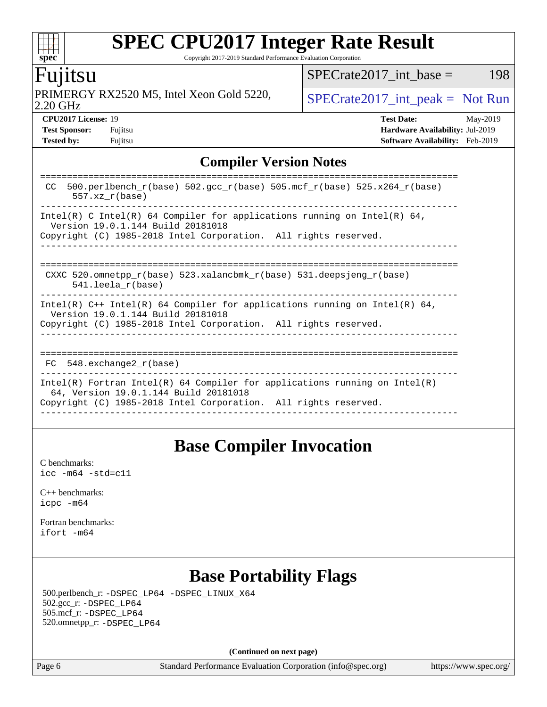Copyright 2017-2019 Standard Performance Evaluation Corporation

### Fujitsu

**[spec](http://www.spec.org/)**

 $\pm\pm$ 

2.20 GHz PRIMERGY RX2520 M5, Intel Xeon Gold 5220,  $\big|$  [SPECrate2017\\_int\\_peak =](http://www.spec.org/auto/cpu2017/Docs/result-fields.html#SPECrate2017intpeak) Not Run

 $SPECTate2017\_int\_base = 198$ 

**[Tested by:](http://www.spec.org/auto/cpu2017/Docs/result-fields.html#Testedby)** Fujitsu **Fugital Example 2019 [Software Availability:](http://www.spec.org/auto/cpu2017/Docs/result-fields.html#SoftwareAvailability)** Feb-2019

**[CPU2017 License:](http://www.spec.org/auto/cpu2017/Docs/result-fields.html#CPU2017License)** 19 **[Test Date:](http://www.spec.org/auto/cpu2017/Docs/result-fields.html#TestDate)** May-2019 **[Test Sponsor:](http://www.spec.org/auto/cpu2017/Docs/result-fields.html#TestSponsor)** Fujitsu **[Hardware Availability:](http://www.spec.org/auto/cpu2017/Docs/result-fields.html#HardwareAvailability)** Jul-2019

### **[Compiler Version Notes](http://www.spec.org/auto/cpu2017/Docs/result-fields.html#CompilerVersionNotes)**

| 500.perlbench $r(base)$ 502.qcc $r(base)$ 505.mcf $r(base)$ 525.x264 $r(base)$<br>CC.<br>$557.xx$ $r(base)$                                                                            |
|----------------------------------------------------------------------------------------------------------------------------------------------------------------------------------------|
| Intel(R) C Intel(R) 64 Compiler for applications running on Intel(R) 64,<br>Version 19.0.1.144 Build 20181018<br>Copyright (C) 1985-2018 Intel Corporation. All rights reserved.       |
| CXXC 520.omnetpp $r(base)$ 523.xalancbmk $r(base)$ 531.deepsjeng $r(base)$<br>$541.$ leela r(base)                                                                                     |
| Intel(R) $C++$ Intel(R) 64 Compiler for applications running on Intel(R) 64,<br>Version 19.0.1.144 Build 20181018<br>Copyright (C) 1985-2018 Intel Corporation. All rights reserved.   |
| FC 548. exchange2 r(base)                                                                                                                                                              |
| Intel(R) Fortran Intel(R) 64 Compiler for applications running on Intel(R)<br>64, Version 19.0.1.144 Build 20181018<br>Copyright (C) 1985-2018 Intel Corporation. All rights reserved. |

### **[Base Compiler Invocation](http://www.spec.org/auto/cpu2017/Docs/result-fields.html#BaseCompilerInvocation)**

[C benchmarks](http://www.spec.org/auto/cpu2017/Docs/result-fields.html#Cbenchmarks): [icc -m64 -std=c11](http://www.spec.org/cpu2017/results/res2019q3/cpu2017-20190624-15367.flags.html#user_CCbase_intel_icc_64bit_c11_33ee0cdaae7deeeab2a9725423ba97205ce30f63b9926c2519791662299b76a0318f32ddfffdc46587804de3178b4f9328c46fa7c2b0cd779d7a61945c91cd35)

[C++ benchmarks:](http://www.spec.org/auto/cpu2017/Docs/result-fields.html#CXXbenchmarks) [icpc -m64](http://www.spec.org/cpu2017/results/res2019q3/cpu2017-20190624-15367.flags.html#user_CXXbase_intel_icpc_64bit_4ecb2543ae3f1412ef961e0650ca070fec7b7afdcd6ed48761b84423119d1bf6bdf5cad15b44d48e7256388bc77273b966e5eb805aefd121eb22e9299b2ec9d9)

[Fortran benchmarks](http://www.spec.org/auto/cpu2017/Docs/result-fields.html#Fortranbenchmarks): [ifort -m64](http://www.spec.org/cpu2017/results/res2019q3/cpu2017-20190624-15367.flags.html#user_FCbase_intel_ifort_64bit_24f2bb282fbaeffd6157abe4f878425411749daecae9a33200eee2bee2fe76f3b89351d69a8130dd5949958ce389cf37ff59a95e7a40d588e8d3a57e0c3fd751)

### **[Base Portability Flags](http://www.spec.org/auto/cpu2017/Docs/result-fields.html#BasePortabilityFlags)**

 500.perlbench\_r: [-DSPEC\\_LP64](http://www.spec.org/cpu2017/results/res2019q3/cpu2017-20190624-15367.flags.html#b500.perlbench_r_basePORTABILITY_DSPEC_LP64) [-DSPEC\\_LINUX\\_X64](http://www.spec.org/cpu2017/results/res2019q3/cpu2017-20190624-15367.flags.html#b500.perlbench_r_baseCPORTABILITY_DSPEC_LINUX_X64) 502.gcc\_r: [-DSPEC\\_LP64](http://www.spec.org/cpu2017/results/res2019q3/cpu2017-20190624-15367.flags.html#suite_basePORTABILITY502_gcc_r_DSPEC_LP64) 505.mcf\_r: [-DSPEC\\_LP64](http://www.spec.org/cpu2017/results/res2019q3/cpu2017-20190624-15367.flags.html#suite_basePORTABILITY505_mcf_r_DSPEC_LP64) 520.omnetpp\_r: [-DSPEC\\_LP64](http://www.spec.org/cpu2017/results/res2019q3/cpu2017-20190624-15367.flags.html#suite_basePORTABILITY520_omnetpp_r_DSPEC_LP64)

**(Continued on next page)**

Page 6 Standard Performance Evaluation Corporation [\(info@spec.org\)](mailto:info@spec.org) <https://www.spec.org/>